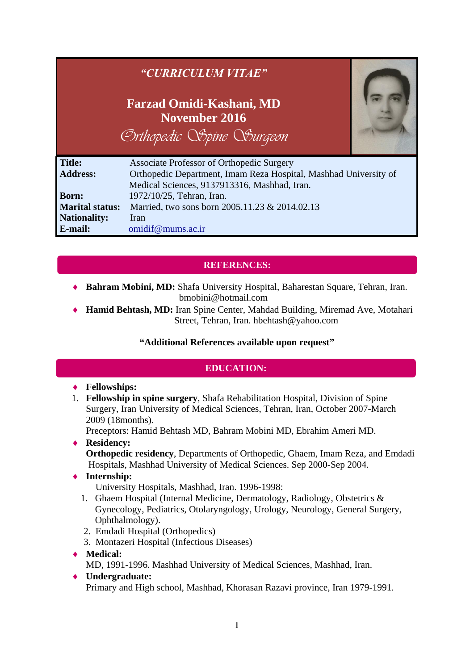|                        | "CURRICULUM VITAE"                                                           |  |
|------------------------|------------------------------------------------------------------------------|--|
|                        | Farzad Omidi-Kashani, MD<br>November 2016<br><b>Exthopedic Spine Surgeon</b> |  |
| <b>Title:</b>          | Associate Professor of Orthopedic Surgery                                    |  |
| <b>Address:</b>        | Orthopedic Department, Imam Reza Hospital, Mashhad University of             |  |
|                        | Medical Sciences, 9137913316, Mashhad, Iran.                                 |  |
| <b>Born:</b>           | 1972/10/25, Tehran, Iran.                                                    |  |
| <b>Marital status:</b> | Married, two sons born 2005.11.23 & 2014.02.13                               |  |
| <b>Nationality:</b>    | <b>Iran</b>                                                                  |  |
| E-mail:                | omidif@mums.ac.ir                                                            |  |

# **REFERENCES:**

- **Bahram Mobini, MD:** Shafa University Hospital, Baharestan Square, Tehran, Iran. [bmobini@hotmail.com](mailto:bmobini@hotmail.com)
- **Hamid Behtash, MD:** Iran Spine Center, Mahdad Building, Miremad Ave, Motahari Street, Tehran, Iran. [hbehtash@yahoo.com](mailto:hbehtash@yahoo.com)

# **"Additional References available upon request"**

# **EDUCATION:**

### **Fellowships:**

1. **Fellowship in spine surgery**, Shafa Rehabilitation Hospital, Division of Spine Surgery, Iran University of Medical Sciences, Tehran, Iran, October 2007-March 2009 (18months).

Preceptors: Hamid Behtash MD, Bahram Mobini MD, Ebrahim Ameri MD.

**Residency:**

**Orthopedic residency**, Departments of Orthopedic, Ghaem, Imam Reza, and Emdadi Hospitals, Mashhad University of Medical Sciences. Sep 2000-Sep 2004.

**Internship:**

University Hospitals, Mashhad, Iran. 1996-1998:

- 1. Ghaem Hospital (Internal Medicine, Dermatology, Radiology, Obstetrics & Gynecology, Pediatrics, Otolaryngology, Urology, Neurology, General Surgery, Ophthalmology).
- 2. Emdadi Hospital (Orthopedics)
- 3. Montazeri Hospital (Infectious Diseases)
- **Medical:** MD, 1991-1996. Mashhad University of Medical Sciences, Mashhad, Iran.
- **Undergraduate:**  Primary and High school, Mashhad, Khorasan Razavi province, Iran 1979-1991.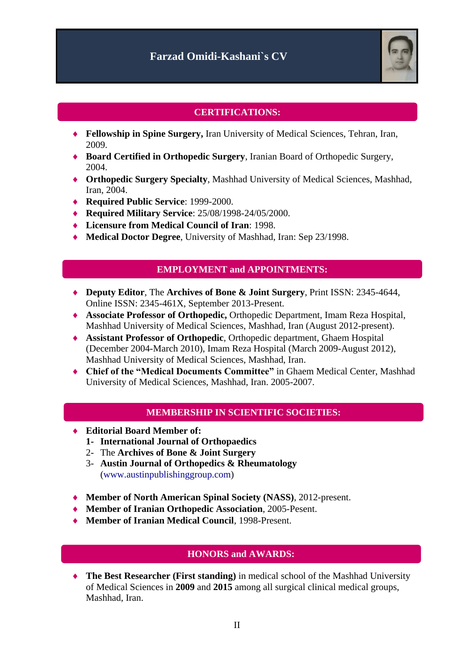

## **CERTIFICATIONS:**

- **Fellowship in Spine Surgery,** Iran University of Medical Sciences, Tehran, Iran, 2009.
- **Board Certified in Orthopedic Surgery**, Iranian Board of Orthopedic Surgery, 2004.
- **Orthopedic Surgery Specialty**, Mashhad University of Medical Sciences, Mashhad, Iran, 2004.
- **Required Public Service**: 1999-2000.
- **Required Military Service**: 25/08/1998-24/05/2000.
- **Licensure from Medical Council of Iran**: 1998.
- **Medical Doctor Degree**, University of Mashhad, Iran: Sep 23/1998.

#### **EMPLOYMENT and APPOINTMENTS:**

- **Deputy Editor**, The **Archives of Bone & Joint Surgery**, Print ISSN: 2345-4644, Online ISSN: 2345-461X, September 2013-Present.
- **Associate Professor of Orthopedic,** Orthopedic Department, Imam Reza Hospital, Mashhad University of Medical Sciences, Mashhad, Iran (August 2012-present).
- **Assistant Professor of Orthopedic**, Orthopedic department, Ghaem Hospital (December 2004-March 2010), Imam Reza Hospital (March 2009-August 2012), Mashhad University of Medical Sciences, Mashhad, Iran.
- **Chief of the "Medical Documents Committee"** in Ghaem Medical Center, Mashhad University of Medical Sciences, Mashhad, Iran. 2005-2007.

#### **MEMBERSHIP IN SCIENTIFIC SOCIETIES:**

- **Editorial Board Member of:**
	- **1- International Journal of Orthopaedics**
	- 2- The **Archives of Bone & Joint Surgery**
	- 3- **Austin Journal of Orthopedics & Rheumatology** [\(www.austinpublishinggroup.com\)](https://mail.mums.ac.ir/owa/redir.aspx?C=dS6uSXdf9kKEk5P39zokRGR1jH-YfNFIh3S8WOaeumedpESTUiwYlIAPdgskidWtL5OpDJoLZPg.&URL=http%3a%2f%2fwww.austinpublishinggroup.com)
- **Member of North American Spinal Society (NASS)**, 2012-present.
- **Member of Iranian Orthopedic Association**, 2005-Pesent.
- **Member of Iranian Medical Council**, 1998-Present.

### **HONORS and AWARDS:**

 **The Best Researcher (First standing)** in medical school of the Mashhad University of Medical Sciences in **2009** and **2015** among all surgical clinical medical groups, Mashhad, Iran.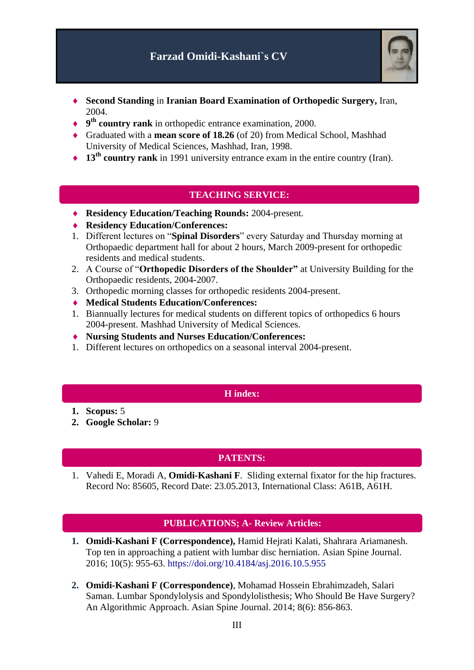

- **Second Standing** in **Iranian Board Examination of Orthopedic Surgery,** Iran, 2004.
- ◆ 9<sup>th</sup> country rank in orthopedic entrance examination, 2000.
- Graduated with a **mean score of 18.26** (of 20) from Medical School, Mashhad University of Medical Sciences, Mashhad, Iran, 1998.
- ◆ **13<sup>th</sup> country rank** in 1991 university entrance exam in the entire country (Iran).

# **TEACHING SERVICE:**

- **Residency Education/Teaching Rounds:** 2004-present.
- **Residency Education/Conferences:**
- 1. Different lectures on "**Spinal Disorders**" every Saturday and Thursday morning at Orthopaedic department hall for about 2 hours, March 2009-present for orthopedic residents and medical students.
- 2. A Course of "**Orthopedic Disorders of the Shoulder"** at University Building for the Orthopaedic residents, 2004-2007.
- 3. Orthopedic morning classes for orthopedic residents 2004-present.
- **Medical Students Education/Conferences:**
- 1. Biannually lectures for medical students on different topics of orthopedics 6 hours 2004-present. Mashhad University of Medical Sciences.
- **Nursing Students and Nurses Education/Conferences:**
- 1. Different lectures on orthopedics on a seasonal interval 2004-present.

### **H index:**

- **1. Scopus:** 5
- **2. Google Scholar:** 9

# **PATENTS:**

1. Vahedi E, Moradi A, **Omidi-Kashani F**. Sliding external fixator for the hip fractures. Record No: 85605, Record Date: 23.05.2013, International Class: A61B, A61H.

### **PUBLICATIONS; A- Review Articles:**

- **1. Omidi-Kashani F (Correspondence),** Hamid Hejrati Kalati, Shahrara Ariamanesh. Top ten in approaching a patient with lumbar disc herniation. Asian Spine Journal. 2016; 10(5): 955-63. <https://doi.org/10.4184/asj.2016.10.5.955>
- **2. Omidi-Kashani F (Correspondence)**, Mohamad Hossein Ebrahimzadeh, Salari Saman. Lumbar Spondylolysis and Spondylolisthesis; Who Should Be Have Surgery? An Algorithmic Approach. Asian Spine Journal. 2014; 8(6): 856-863.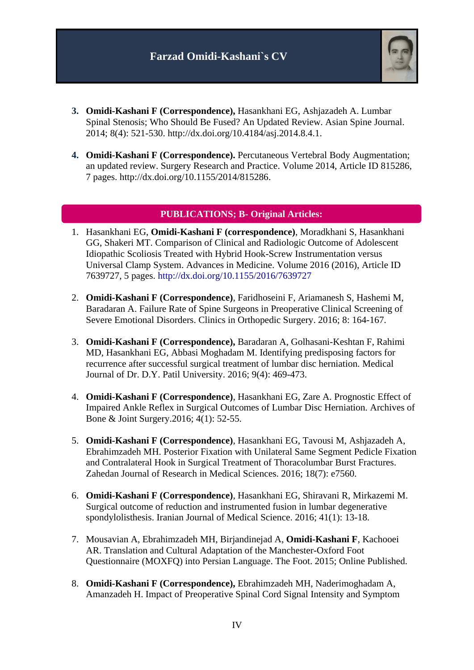

- **3. Omidi-Kashani F (Correspondence),** Hasankhani EG, Ashjazadeh A. Lumbar Spinal Stenosis; Who Should Be Fused? An Updated Review. Asian Spine Journal. 2014; 8(4): 521-530. http://dx.doi.org/10.4184/asj.2014.8.4.1.
- **4. Omidi-Kashani F (Correspondence).** Percutaneous Vertebral Body Augmentation; an updated review. Surgery Research and Practice. Volume 2014, Article ID 815286, 7 pages. [http://dx.doi.org/10.1155/2014/815286.](http://dx.doi.org/10.1155/2014/815286)

#### **PUBLICATIONS; B- Original Articles:**

- 1. Hasankhani EG, **Omidi-Kashani F (correspondence)**, Moradkhani S, Hasankhani GG, Shakeri MT. Comparison of Clinical and Radiologic Outcome of Adolescent Idiopathic Scoliosis Treated with Hybrid Hook-Screw Instrumentation versus Universal Clamp System. Advances in Medicine. Volume 2016 (2016), Article ID 7639727, 5 pages.<http://dx.doi.org/10.1155/2016/7639727>
- 2. **Omidi-Kashani F (Correspondence)**, Faridhoseini F, Ariamanesh S, Hashemi M, Baradaran A. Failure Rate of Spine Surgeons in Preoperative Clinical Screening of Severe Emotional Disorders. Clinics in Orthopedic Surgery. 2016; 8: 164-167.
- 3. **Omidi-Kashani F (Correspondence),** Baradaran A, Golhasani-Keshtan F, Rahimi MD, Hasankhani EG, Abbasi Moghadam M. Identifying predisposing factors for recurrence after successful surgical treatment of lumbar disc herniation. Medical Journal of Dr. D.Y. Patil University. 2016; 9(4): 469-473.
- 4. **Omidi-Kashani F (Correspondence)**, Hasankhani EG, Zare A. Prognostic Effect of Impaired Ankle Reflex in Surgical Outcomes of Lumbar Disc Herniation. Archives of Bone & Joint Surgery.2016; 4(1): 52-55.
- 5. **Omidi-Kashani F (Correspondence)**, Hasankhani EG, Tavousi M, Ashjazadeh A, Ebrahimzadeh MH. Posterior Fixation with Unilateral Same Segment Pedicle Fixation and Contralateral Hook in Surgical Treatment of Thoracolumbar Burst Fractures. Zahedan Journal of Research in Medical Sciences. 2016; 18(7): e7560.
- 6. **Omidi-Kashani F (Correspondence)**, Hasankhani EG, Shiravani R, Mirkazemi M. Surgical outcome of reduction and instrumented fusion in lumbar degenerative spondylolisthesis. Iranian Journal of Medical Science. 2016; 41(1): 13-18.
- 7. [Mousavian](http://www.sciencedirect.com/science/article/pii/S0958259215000590) A, [Ebrahimzadeh](http://www.sciencedirect.com/science/article/pii/S0958259215000590) MH, [Birjandinejad](http://www.sciencedirect.com/science/article/pii/S0958259215000590) A, **[Omidi-Kashani](http://www.sciencedirect.com/science/article/pii/S0958259215000590) F**, [Kachooei](http://www.sciencedirect.com/science/article/pii/S0958259215000590) AR. Translation and Cultural Adaptation of the Manchester-Oxford Foot Questionnaire (MOXFQ) into Persian Language. The Foot. 2015; Online Published.
- 8. **Omidi-Kashani F (Correspondence),** Ebrahimzadeh MH, Naderimoghadam A, Amanzadeh H. Impact of Preoperative Spinal Cord Signal Intensity and Symptom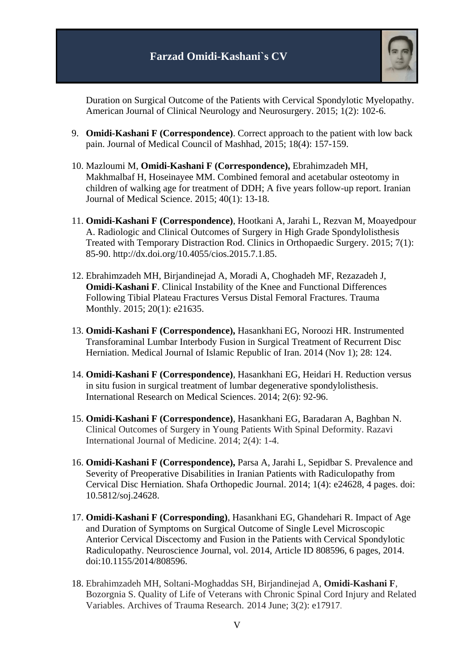

Duration on Surgical Outcome of the Patients with Cervical Spondylotic Myelopathy. American Journal of Clinical Neurology and Neurosurgery. 2015; 1(2): 102-6.

- 9. **Omidi-Kashani F (Correspondence)**. Correct approach to the patient with low back pain. Journal of Medical Council of Mashhad, 2015; 18(4): 157-159.
- 10. Mazloumi M, **Omidi-Kashani F (Correspondence),** Ebrahimzadeh MH, Makhmalbaf H, Hoseinayee MM. Combined femoral and acetabular osteotomy in children of walking age for treatment of DDH; A five years follow-up report. Iranian Journal of Medical Science. 2015; 40(1): 13-18.
- 11. **Omidi-Kashani F (Correspondence)**, Hootkani A, Jarahi L, Rezvan M, Moayedpour A. Radiologic and Clinical Outcomes of Surgery in High Grade Spondylolisthesis Treated with Temporary Distraction Rod. Clinics in Orthopaedic Surgery. 2015; 7(1): 85-90. http://dx.doi.org/10.4055/cios.2015.7.1.85.
- 12. Ebrahimzadeh MH, Birjandinejad A, Moradi A, Choghadeh MF, Rezazadeh J, **Omidi-Kashani F**. Clinical Instability of the Knee and Functional Differences Following Tibial Plateau Fractures Versus Distal Femoral Fractures. Trauma Monthly. 2015; 20(1): e21635.
- 13. **Omidi-Kashani F (Correspondence),** Hasankhani EG, Noroozi HR. Instrumented Transforaminal Lumbar Interbody Fusion in Surgical Treatment of Recurrent Disc Herniation. Medical Journal of Islamic Republic of Iran. 2014 (Nov 1); 28: 124.
- 14. **Omidi-Kashani F (Correspondence)**, Hasankhani EG, Heidari H. Reduction versus in situ fusion in surgical treatment of lumbar degenerative spondylolisthesis. International Research on Medical Sciences. 2014; 2(6): 92-96.
- 15. **Omidi-Kashani F (Correspondence)**, Hasankhani EG, Baradaran A, Baghban N. Clinical Outcomes of Surgery in Young Patients With Spinal Deformity. Razavi International Journal of Medicine. 2014; 2(4): 1-4.
- 16. **Omidi-Kashani F (Correspondence),** Parsa A, Jarahi L, Sepidbar S. Prevalence and Severity of Preoperative Disabilities in Iranian Patients with Radiculopathy from Cervical Disc Herniation. Shafa Orthopedic Journal. 2014; 1(4): e24628, 4 pages. doi: 10.5812/soj.24628.
- 17. **Omidi-Kashani F (Corresponding)**, Hasankhani EG, Ghandehari R. Impact of Age and Duration of Symptoms on Surgical Outcome of Single Level Microscopic Anterior Cervical Discectomy and Fusion in the Patients with Cervical Spondylotic Radiculopathy. Neuroscience Journal, vol. 2014, Article ID 808596, 6 pages, 2014. doi:10.1155/2014/808596.
- 18. Ebrahimzadeh MH, Soltani-Moghaddas SH, Birjandinejad A, **Omidi-Kashani F**, Bozorgnia S. Quality of Life of Veterans with Chronic Spinal Cord Injury and Related Variables. Archives of Trauma Research. 2014 June; 3(2): e17917.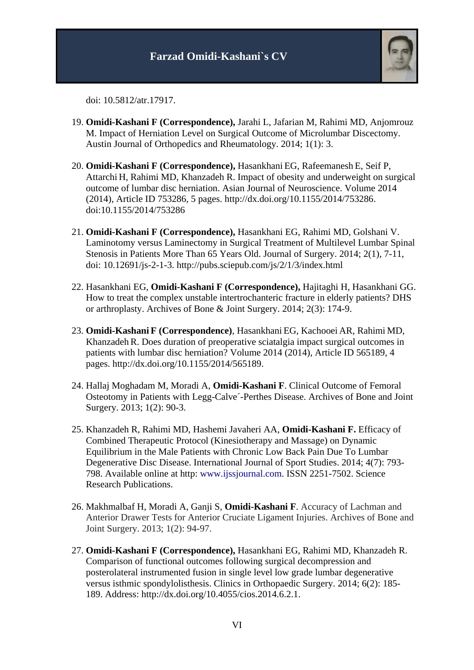

doi: 10.5812/atr.17917.

- 19. **Omidi-Kashani F (Correspondence),** Jarahi L, Jafarian M, Rahimi MD, Anjomrouz M. Impact of Herniation Level on Surgical Outcome of Microlumbar Discectomy. Austin Journal of Orthopedics and Rheumatology. 2014; 1(1): 3.
- 20. **Omidi-Kashani F (Correspondence),** Hasankhani EG, Rafeemanesh E, Seif P, Attarchi H, Rahimi MD, Khanzadeh R. Impact of obesity and underweight on surgical outcome of lumbar disc herniation. Asian Journal of Neuroscience. Volume 2014 (2014), Article ID 753286, 5 pages. [http://dx.doi.org/10.1155/2014/753286.](http://dx.doi.org/10.1155/2014/753286) doi:10.1155/2014/753286
- 21. **Omidi-Kashani F (Correspondence),** Hasankhani EG, Rahimi MD, Golshani V. Laminotomy versus Laminectomy in Surgical Treatment of Multilevel Lumbar Spinal Stenosis in Patients More Than 65 Years Old. Journal of Surgery. 2014; 2(1), 7-11, doi: 10.12691/js-2-1-3. <http://pubs.sciepub.com/js/2/1/3/index.html>
- 22. Hasankhani EG, **Omidi-Kashani F (Correspondence),** Hajitaghi H, Hasankhani GG. How to treat the complex unstable intertrochanteric fracture in elderly patients? DHS or arthroplasty. Archives of Bone & Joint Surgery. 2014; 2(3): 174-9.
- 23. **Omidi-Kashani F (Correspondence)**, Hasankhani EG, Kachooei AR, Rahimi MD, Khanzadeh R. Does duration of preoperative sciatalgia impact surgical outcomes in patients with lumbar disc herniation? Volume 2014 (2014), Article ID 565189, 4 pages. [http://dx.doi.org/10.1155/2014/565189.](http://dx.doi.org/10.1155/2014/565189)
- 24. Hallaj Moghadam M, Moradi A, **Omidi-Kashani F**. Clinical Outcome of Femoral Osteotomy in Patients with Legg-Calve´-Perthes Disease. Archives of Bone and Joint Surgery. 2013; 1(2): 90-3.
- 25. Khanzadeh R, Rahimi MD, Hashemi Javaheri AA, **Omidi-Kashani F.** Efficacy of Combined Therapeutic Protocol (Kinesiotherapy and Massage) on Dynamic Equilibrium in the Male Patients with Chronic Low Back Pain Due To Lumbar Degenerative Disc Disease. International Journal of Sport Studies. 2014; 4(7): 793- 798. Available online at http: [www.ijssjournal.com.](http://www.ijssjournal.com/) ISSN 2251-7502. Science Research Publications.
- 26. Makhmalbaf H, Moradi A, Ganji S, **Omidi-Kashani F**. Accuracy of Lachman and Anterior Drawer Tests for Anterior Cruciate Ligament Injuries. Archives of Bone and Joint Surgery. 2013; 1(2): 94-97.
- 27. **Omidi-Kashani F (Correspondence),** Hasankhani EG, Rahimi MD, Khanzadeh R. Comparison of functional outcomes following surgical decompression and posterolateral instrumented fusion in single level low grade lumbar degenerative versus isthmic spondylolisthesis. Clinics in Orthopaedic Surgery. 2014; 6(2): 185- 189. Address: http://dx.doi.org/10.4055/cios.2014.6.2.1.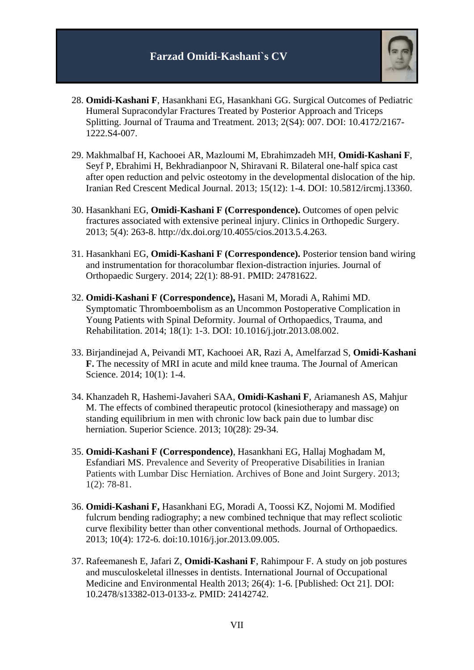

- 28. **Omidi-Kashani F**, Hasankhani EG, Hasankhani GG. Surgical Outcomes of Pediatric Humeral Supracondylar Fractures Treated by Posterior Approach and Triceps Splitting. Journal of Trauma and Treatment. 2013; 2(S4): 007. DOI: 10.4172/2167- 1222.S4-007.
- 29. Makhmalbaf H, Kachooei AR, Mazloumi M, Ebrahimzadeh MH, **Omidi-Kashani F**, Seyf P, Ebrahimi H, Bekhradianpoor N, Shiravani R. Bilateral one-half spica cast after open reduction and pelvic osteotomy in the developmental dislocation of the hip. Iranian Red Crescent Medical Journal. 2013; 15(12): 1-4. DOI: 10.5812/ircmj.13360.
- 30. Hasankhani EG, **Omidi-Kashani F (Correspondence).** Outcomes of open pelvic fractures associated with extensive perineal injury. Clinics in Orthopedic Surgery. 2013; 5(4): 263-8. [http://dx.doi.org/10.4055/cios.2013.5.4.263.](http://dx.doi.org/10.4055/cios.2013.5.4.263)
- 31. Hasankhani EG, **Omidi-Kashani F (Correspondence).** Posterior tension band wiring and instrumentation for thoracolumbar flexion-distraction injuries. Journal of Orthopaedic Surgery. 2014; 22(1): 88-91. PMID: 24781622.
- 32. **Omidi-Kashani F (Correspondence),** Hasani M, Moradi A, Rahimi MD. Symptomatic Thromboembolism as an Uncommon Postoperative Complication in Young Patients with Spinal Deformity. Journal of Orthopaedics, Trauma, and Rehabilitation. 2014; 18(1): 1-3. DOI: 10.1016/j.jotr.2013.08.002.
- 33. Birjandinejad A, Peivandi MT, Kachooei AR, Razi A, Amelfarzad S, **Omidi-Kashani F.** The necessity of MRI in acute and mild knee trauma. The Journal of American Science. 2014; 10(1): 1-4.
- 34. Khanzadeh R, Hashemi-Javaheri SAA, **Omidi-Kashani F**, Ariamanesh AS, Mahjur M. The effects of combined therapeutic protocol (kinesiotherapy and massage) on standing equilibrium in men with chronic low back pain due to lumbar disc herniation. Superior Science. 2013; 10(28): 29-34.
- 35. **Omidi-Kashani F (Correspondence)**, Hasankhani EG, Hallaj Moghadam M, Esfandiari MS. Prevalence and Severity of Preoperative Disabilities in Iranian Patients with Lumbar Disc Herniation. Archives of Bone and Joint Surgery. 2013; 1(2): 78-81.
- 36. **Omidi-Kashani F,** Hasankhani EG, Moradi A, Toossi KZ, Nojomi M. Modified fulcrum bending radiography; a new combined technique that may reflect scoliotic curve flexibility better than other conventional methods. Journal of Orthopaedics. 2013; 10(4): 172-6. doi:10.1016/j.jor.2013.09.005.
- 37. Rafeemanesh E, Jafari Z, **Omidi-Kashani F**, Rahimpour F. A study on job postures and musculoskeletal illnesses in dentists. International Journal of Occupational Medicine and Environmental Health 2013; 26(4): 1-6. [Published: Oct 21]. DOI: 10.2478/s13382-013-0133-z. PMID: 24142742.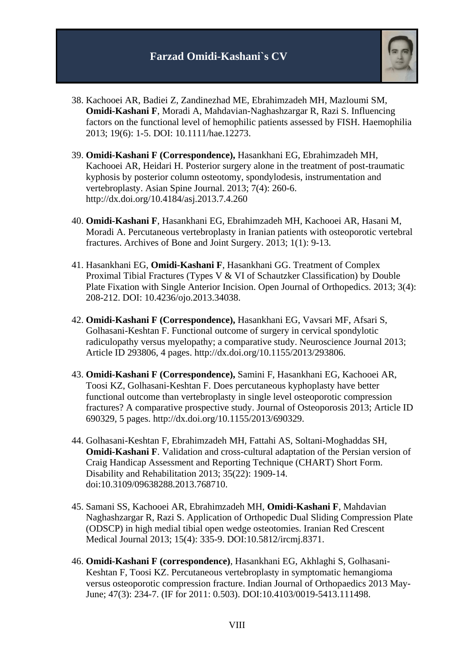

- 38. Kachooei AR, Badiei Z, Zandinezhad ME, Ebrahimzadeh MH, Mazloumi SM, **Omidi-Kashani F**, Moradi A, Mahdavian-Naghashzargar R, Razi S. Influencing factors on the functional level of hemophilic patients assessed by FISH. Haemophilia 2013; 19(6): 1-5. DOI: 10.1111/hae.12273.
- 39. **Omidi-Kashani F (Correspondence),** Hasankhani EG, Ebrahimzadeh MH, Kachooei AR, Heidari H. Posterior surgery alone in the treatment of post-traumatic kyphosis by posterior column osteotomy, spondylodesis, instrumentation and vertebroplasty. Asian Spine Journal. 2013; 7(4): 260-6. <http://dx.doi.org/10.4184/asj.2013.7.4.260>
- 40. **Omidi-Kashani F**, Hasankhani EG, Ebrahimzadeh MH, Kachooei AR, Hasani M, Moradi A. Percutaneous vertebroplasty in Iranian patients with osteoporotic vertebral fractures. Archives of Bone and Joint Surgery. 2013; 1(1): 9-13.
- 41. Hasankhani EG, **Omidi-Kashani F**, Hasankhani GG. Treatment of Complex Proximal Tibial Fractures (Types V & VI of Schautzker Classification) by Double Plate Fixation with Single Anterior Incision. Open Journal of Orthopedics. 2013; 3(4): 208-212. DOI: 10.4236/ojo.2013.34038.
- 42. **Omidi-Kashani F (Correspondence),** Hasankhani EG, Vavsari MF, Afsari S, Golhasani-Keshtan F. Functional outcome of surgery in cervical spondylotic radiculopathy versus myelopathy; a comparative study. Neuroscience Journal 2013; Article ID 293806, 4 pages. http://dx.doi.org/10.1155/2013/293806.
- 43. **Omidi-Kashani F (Correspondence),** Samini F, Hasankhani EG, Kachooei AR, Toosi KZ, Golhasani-Keshtan F. Does percutaneous kyphoplasty have better functional outcome than vertebroplasty in single level osteoporotic compression fractures? A comparative prospective study. Journal of Osteoporosis 2013; Article ID 690329, 5 pages. [http://dx.doi.org/10.1155/2013/690329.](http://dx.doi.org/10.1155/2013/690329)
- 44. [Golhasani-Keshtan](http://informahealthcare.com/action/doSearch?action=runSearch&type=advanced&result=true&prevSearch=%2Bauthorsfield%3A%28Golhasani%5C-Keshtan%2C+F%29) F, [Ebrahimzadeh](http://informahealthcare.com/action/doSearch?action=runSearch&type=advanced&result=true&prevSearch=%2Bauthorsfield%3A%28Ebrahimzadeh%2C+M+H%29) MH, [Fattahi](http://informahealthcare.com/action/doSearch?action=runSearch&type=advanced&result=true&prevSearch=%2Bauthorsfield%3A%28Fattahi%2C+A+S%29) AS, [Soltani-Moghaddas](http://informahealthcare.com/action/doSearch?action=runSearch&type=advanced&result=true&prevSearch=%2Bauthorsfield%3A%28Soltani%5C-Moghaddas%2C+S+H%29) SH, **[Omidi-Kashani](http://informahealthcare.com/action/doSearch?action=runSearch&type=advanced&result=true&prevSearch=%2Bauthorsfield%3A%28Omidi%5C-kashani%2C+F%29) F**. Validation and cross-cultural adaptation of the Persian version of Craig Handicap Assessment and Reporting Technique (CHART) Short Form. Disability and Rehabilitation 2013; 35(22): 1909-14. doi:10.3109/09638288.2013.768710.
- 45. Samani SS, Kachooei AR, Ebrahimzadeh MH, **Omidi-Kashani F**, Mahdavian Naghashzargar R, Razi S. Application of Orthopedic Dual Sliding Compression Plate (ODSCP) in high medial tibial open wedge osteotomies. Iranian Red Crescent Medical Journal 2013; 15(4): 335-9. DOI:10.5812/ircmj.8371.
- 46. **Omidi-Kashani F (correspondence)**, Hasankhani EG, Akhlaghi S, Golhasani-Keshtan F, Toosi KZ. Percutaneous vertebroplasty in symptomatic hemangioma versus osteoporotic compression fracture. Indian Journal of Orthopaedics 2013 May-June; 47(3): 234-7. (IF for 2011: 0.503). DOI:10.4103/0019-5413.111498.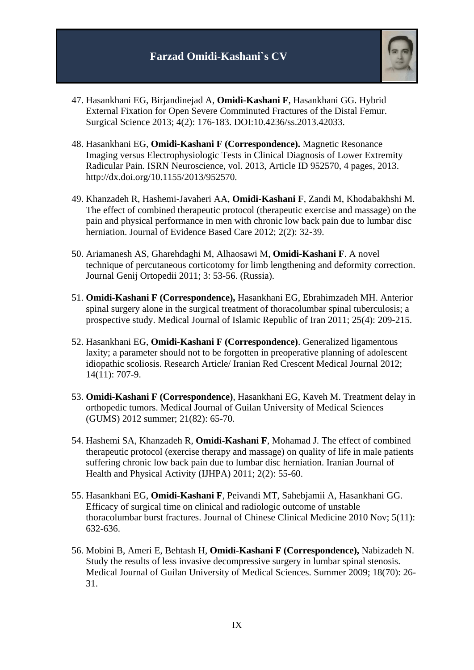

- 47. Hasankhani EG, Birjandinejad A, **Omidi-Kashani F**, Hasankhani GG. Hybrid External Fixation for Open Severe Comminuted Fractures of the Distal Femur. Surgical Science 2013; 4(2): 176-183. DOI[:10.4236/ss.2013.42033.](http://dx.doi.org/10.4236/ss.2013.42033)
- 48. Hasankhani EG, **Omidi-Kashani F (Correspondence).** Magnetic Resonance Imaging versus Electrophysiologic Tests in Clinical Diagnosis of Lower Extremity Radicular Pain. ISRN Neuroscience, vol. 2013, Article ID 952570, 4 pages, 2013. http://dx.doi.org/10.1155/2013/952570.
- 49. Khanzadeh R, Hashemi-Javaheri AA, **Omidi-Kashani F**, Zandi M, Khodabakhshi M. The effect of combined therapeutic protocol (therapeutic exercise and massage) on the pain and physical performance in men with chronic low back pain due to lumbar disc herniation. Journal of Evidence Based Care 2012; 2(2): 32-39.
- 50. Ariamanesh AS, Gharehdaghi M, Alhaosawi M, **Omidi-Kashani F**. A novel technique of percutaneous corticotomy for limb lengthening and deformity correction. Journal Genij Ortopedii 2011; 3: 53-56. (Russia).
- 51. **Omidi-Kashani F (Correspondence),** Hasankhani EG, Ebrahimzadeh MH. Anterior spinal surgery alone in the surgical treatment of thoracolumbar spinal tuberculosis; a prospective study. Medical Journal of Islamic Republic of Iran 2011; 25(4): 209-215.
- 52. Hasankhani EG, **Omidi-Kashani F (Correspondence)**. Generalized ligamentous laxity; a parameter should not to be forgotten in preoperative planning of adolescent idiopathic scoliosis. Research Article/ Iranian Red Crescent Medical Journal 2012; 14(11): 707-9.
- 53. **Omidi-Kashani F (Correspondence)**, Hasankhani EG, Kaveh M. Treatment delay in orthopedic tumors. Medical Journal of Guilan University of Medical Sciences (GUMS) 2012 summer; 21(82): 65-70.
- 54. Hashemi SA, Khanzadeh R, **Omidi-Kashani F**, Mohamad J. The effect of combined therapeutic protocol (exercise therapy and massage) on quality of life in male patients suffering chronic low back pain due to lumbar disc herniation. Iranian Journal of Health and Physical Activity (IJHPA) 2011; 2(2): 55-60.
- 55. Hasankhani EG, **Omidi-Kashani F**, Peivandi MT, Sahebjamii A, Hasankhani GG. Efficacy of surgical time on clinical and radiologic outcome of unstable thoracolumbar burst fractures. Journal of Chinese Clinical Medicine 2010 Nov; 5(11): 632-636.
- 56. Mobini B, Ameri E, Behtash H, **Omidi-Kashani F (Correspondence),** Nabizadeh N. Study the results of less invasive decompressive surgery in lumbar spinal stenosis. Medical Journal of Guilan University of Medical Sciences. Summer 2009; 18(70): 26- 31.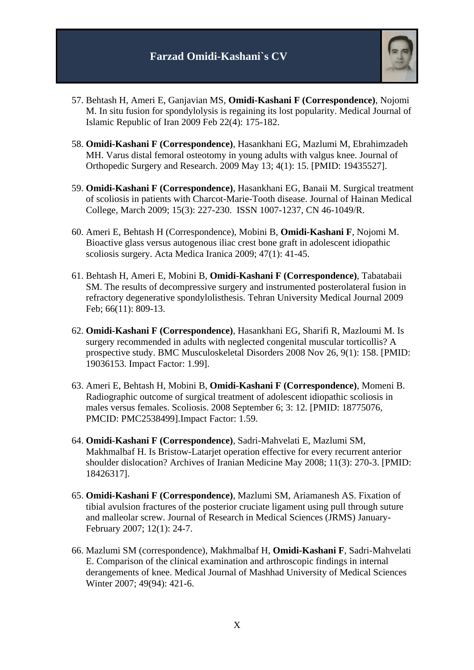

- 57. Behtash H, Ameri E, Ganjavian MS, **Omidi-Kashani F (Correspondence)**, Nojomi M. In situ fusion for spondylolysis is regaining its lost popularity. Medical Journal of Islamic Republic of Iran 2009 Feb 22(4): 175-182.
- 58. **Omidi-Kashani F (Correspondence)**, Hasankhani EG, Mazlumi M, Ebrahimzadeh MH. Varus distal femoral osteotomy in young adults with valgus knee. Journal of Orthopedic Surgery and Research. 2009 May 13; 4(1): 15. [PMID: 19435527].
- 59. **Omidi-Kashani F (Correspondence)**, Hasankhani EG, Banaii M. Surgical treatment of scoliosis in patients with Charcot-Marie-Tooth disease. Journal of Hainan Medical College, March 2009; 15(3): 227-230. ISSN 1007-1237, CN 46-1049/R.
- 60. Ameri E, Behtash H (Correspondence), Mobini B, **Omidi-Kashani F**, Nojomi M. Bioactive glass versus autogenous iliac crest bone graft in adolescent idiopathic scoliosis surgery. Acta Medica Iranica 2009; 47(1): 41-45.
- 61. Behtash H, Ameri E, Mobini B, **Omidi-Kashani F (Correspondence)**, Tabatabaii SM. The results of decompressive surgery and instrumented posterolateral fusion in refractory degenerative spondylolisthesis. Tehran University Medical Journal 2009 Feb; 66(11): 809-13.
- 62. **Omidi-Kashani F (Correspondence)**, Hasankhani EG, Sharifi R, Mazloumi M. [Is](http://www.biomedcentral.com/1471-2474/9/158/abstract)  [surgery recommended in adults with neglected congenital muscular torticollis? A](http://www.biomedcentral.com/1471-2474/9/158/abstract)  [prospective study. B](http://www.biomedcentral.com/1471-2474/9/158/abstract)MC Musculoskeletal Disorders 2008 Nov 26, 9(1): 158. [PMID: 19036153. Impact Factor: 1.99].
- 63. Ameri E, Behtash H, Mobini B, **[Omidi-Kashani F \(Correspondence\)](http://www.ncbi.nlm.nih.gov/pubmed/18775076?ordinalpos=1&itool=EntrezSystem2.PEntrez.Pubmed.Pubmed_ResultsPanel.Pubmed_DefaultReportPanel.Pubmed_RVDocSum)**, Momeni B. Radiographic outcome of surgical treatment of adolescent idiopathic scoliosis in males versus females. Scoliosis. 2008 September 6; 3: 12. [PMID: 18775076, PMCID: PMC2538499].Impact Factor: 1.59.
- 64. **Omidi-Kashani F (Correspondence)**, Sadri-Mahvelati E, Mazlumi SM, Makhmalbaf H. Is Bristow-Latarjet operation effective for every recurrent anterior shoulder dislocation? Archives of Iranian Medicine May 2008; 11(3): 270-3. [PMID: 18426317].
- 65. **Omidi-Kashani F (Correspondence)**, Mazlumi SM, Ariamanesh AS. Fixation of tibial avulsion fractures of the posterior cruciate ligament using pull through suture and malleolar screw. Journal of Research in Medical Sciences (JRMS) January-February 2007; 12(1): 24-7.
- 66. Mazlumi SM (correspondence), Makhmalbaf H, **Omidi-Kashani F**, Sadri-Mahvelati E. Comparison of the clinical examination and arthroscopic findings in internal derangements of knee. Medical Journal of Mashhad University of Medical Sciences Winter 2007; 49(94): 421-6.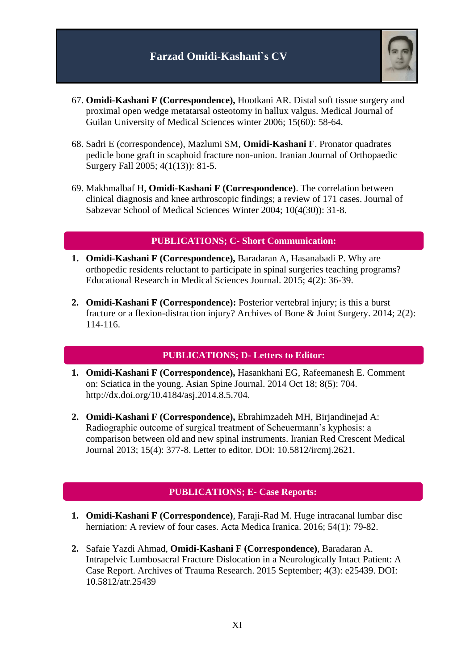

- 67. **Omidi-Kashani F (Correspondence),** Hootkani AR. Distal soft tissue surgery and proximal open wedge metatarsal osteotomy in hallux valgus. Medical Journal of Guilan University of Medical Sciences winter 2006; 15(60): 58-64.
- 68. Sadri E (correspondence), Mazlumi SM, **Omidi-Kashani F**. Pronator quadrates pedicle bone graft in scaphoid fracture non-union. Iranian Journal of Orthopaedic Surgery Fall 2005; 4(1(13)): 81-5.
- 69. Makhmalbaf H, **Omidi-Kashani F (Correspondence)**. The correlation between clinical diagnosis and knee arthroscopic findings; a review of 171 cases. Journal of Sabzevar School of Medical Sciences Winter 2004; 10(4(30)): 31-8.

### **PUBLICATIONS; C- Short Communication:**

- **1. Omidi-Kashani F (Correspondence),** Baradaran A, Hasanabadi P. Why are orthopedic residents reluctant to participate in spinal surgeries teaching programs? Educational Research in Medical Sciences Journal. 2015; 4(2): 36-39.
- **2. Omidi-Kashani F (Correspondence):** Posterior vertebral injury; is this a burst fracture or a flexion-distraction injury? Archives of Bone & Joint Surgery. 2014; 2(2): 114-116.

#### **PUBLICATIONS; D- Letters to Editor:**

- **1. Omidi-Kashani F (Correspondence),** Hasankhani EG, Rafeemanesh E. Comment on: Sciatica in the young. Asian Spine Journal. 2014 Oct 18; 8(5): 704. [http://dx.doi.org/10.4184/asj.2014.8.5.704.](http://dx.doi.org/10.4184/asj.2014.8.5.704)
- **2. Omidi-Kashani F (Correspondence),** Ebrahimzadeh MH, Birjandinejad A: Radiographic outcome of surgical treatment of Scheuermann's kyphosis: a comparison between old and new spinal instruments. Iranian Red Crescent Medical Journal 2013; 15(4): 377-8. Letter to editor. DOI: 10.5812/ircmj.2621.

### **PUBLICATIONS; E- Case Reports:**

- **1. Omidi-Kashani F (Correspondence)**, Faraji-Rad M. Huge intracanal lumbar disc herniation: A review of four cases. Acta Medica Iranica. 2016; 54(1): 79-82.
- **2.** Safaie Yazdi Ahmad, **Omidi-Kashani F (Correspondence)**, Baradaran A. Intrapelvic Lumbosacral Fracture Dislocation in a Neurologically Intact Patient: A Case Report. Archives of Trauma Research. 2015 September; 4(3): e25439. DOI: 10.5812/atr.25439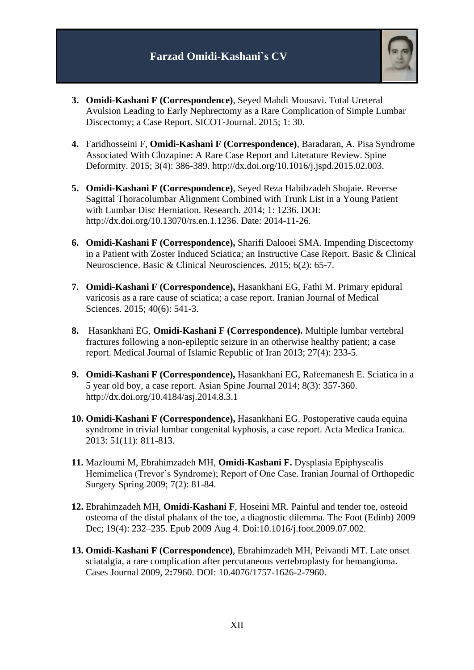

- **3. Omidi-Kashani F (Correspondence)**, Seyed Mahdi Mousavi. Total Ureteral Avulsion Leading to Early Nephrectomy as a Rare Complication of Simple Lumbar Discectomy; a Case Report. SICOT-Journal. 2015; 1: 30.
- **4.** Faridhosseini F, **Omidi-Kashani F (Correspondence)**, Baradaran, A. Pisa Syndrome Associated With Clozapine: A Rare Case Report and Literature Review. Spine Deformity. 2015; 3(4): 386-389. http://dx.doi.org/10.1016/j.jspd.2015.02.003.
- **5. Omidi-Kashani F (Correspondence)**, Seyed Reza Habibzadeh Shojaie. Reverse Sagittal Thoracolumbar Alignment Combined with Trunk List in a Young Patient with Lumbar Disc Herniation. Research. 2014; 1: 1236. DOI: [http://dx.doi.org/10.13070/rs.en.1.1236.](http://dx.doi.org/10.13070/rs.en.1.1236) Date: 2014-11-26.
- **6. Omidi-Kashani F (Correspondence),** Sharifi Dalooei SMA. Impending Discectomy in a Patient with Zoster Induced Sciatica; an Instructive Case Report. Basic & Clinical Neuroscience. Basic & Clinical Neurosciences. 2015; 6(2): 65-7.
- **7. Omidi-Kashani F (Correspondence),** Hasankhani EG, Fathi M. Primary epidural varicosis as a rare cause of sciatica; a case report. Iranian Journal of Medical Sciences. 2015; 40(6): 541-3.
- **8.** Hasankhani EG, **Omidi-Kashani F (Correspondence).** Multiple lumbar vertebral fractures following a non-epileptic seizure in an otherwise healthy patient; a case report. Medical Journal of Islamic Republic of Iran 2013; 27(4): 233-5.
- **9. Omidi-Kashani F (Correspondence),** Hasankhani EG, Rafeemanesh E. Sciatica in a 5 year old boy, a case report. Asian Spine Journal 2014; 8(3): 357-360. http://dx.doi.org/10.4184/asj.2014.8.3.1
- **10. Omidi-Kashani F (Correspondence),** Hasankhani EG. Postoperative cauda equina syndrome in trivial lumbar congenital kyphosis, a case report. Acta Medica Iranica. 2013: 51(11): 811-813.
- **11.** Mazloumi M, Ebrahimzadeh MH, **Omidi-Kashani F.** Dysplasia Epiphysealis Hemimelica (Trevor's Syndrome); Report of One Case. Iranian Journal of Orthopedic Surgery Spring 2009; 7(2): 81-84.
- **12.** Ebrahimzadeh MH, **Omidi-Kashani F**, Hoseini MR. Painful and tender toe, osteoid osteoma of the distal phalanx of the toe, a diagnostic dilemma. The Foot (Edinb) 2009 Dec; 19(4): 232–235. Epub 2009 Aug 4. Doi:10.1016/j.foot.2009.07.002.
- **13. Omidi-Kashani F (Correspondence)**, Ebrahimzadeh MH, Peivandi MT. Late onset sciatalgia, a rare complication after percutaneous vertebroplasty for hemangioma. Cases Journal 2009, 2**:**7960. DOI: 10.4076/1757-1626-2-7960.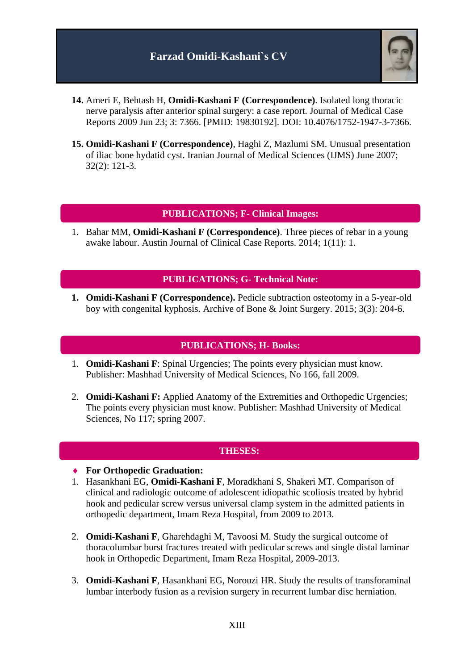

- **14.** Ameri E, Behtash H, **Omidi-Kashani F (Correspondence)**. Isolated long thoracic nerve paralysis after anterior spinal surgery: a case report. Journal of Medical Case Reports 2009 Jun 23; 3: 7366. [PMID: 19830192]. DOI: 10.4076/1752-1947-3-7366.
- **15. Omidi-Kashani F (Correspondence)**, Haghi Z, Mazlumi SM. Unusual presentation of iliac bone hydatid cyst. Iranian Journal of Medical Sciences (IJMS) June 2007; 32(2): 121-3.

#### **PUBLICATIONS; F- Clinical Images:**

1. Bahar MM, **Omidi-Kashani F (Correspondence)**. Three pieces of rebar in a young awake labour. Austin Journal of Clinical Case Reports. 2014; 1(11): 1.

#### **PUBLICATIONS; G- Technical Note:**

**1. Omidi-Kashani F (Correspondence).** Pedicle subtraction osteotomy in a 5-year-old boy with congenital kyphosis. Archive of Bone & Joint Surgery. 2015; 3(3): 204-6.

#### **PUBLICATIONS; H- Books:**

- 1. **Omidi-Kashani F**: Spinal Urgencies; The points every physician must know. Publisher: Mashhad University of Medical Sciences, No 166, fall 2009.
- 2. **Omidi-Kashani F:** Applied Anatomy of the Extremities and Orthopedic Urgencies; The points every physician must know. Publisher: Mashhad University of Medical Sciences, No 117; spring 2007.

#### **THESES:**

- **For Orthopedic Graduation:**
- 1. Hasankhani EG, **Omidi-Kashani F**, Moradkhani S, Shakeri MT. Comparison of clinical and radiologic outcome of adolescent idiopathic scoliosis treated by hybrid hook and pedicular screw versus universal clamp system in the admitted patients in orthopedic department, Imam Reza Hospital, from 2009 to 2013.
- 2. **Omidi-Kashani F**, Gharehdaghi M, Tavoosi M. Study the surgical outcome of thoracolumbar burst fractures treated with pedicular screws and single distal laminar hook in Orthopedic Department, Imam Reza Hospital, 2009-2013.
- 3. **Omidi-Kashani F**, Hasankhani EG, Norouzi HR. Study the results of transforaminal lumbar interbody fusion as a revision surgery in recurrent lumbar disc herniation.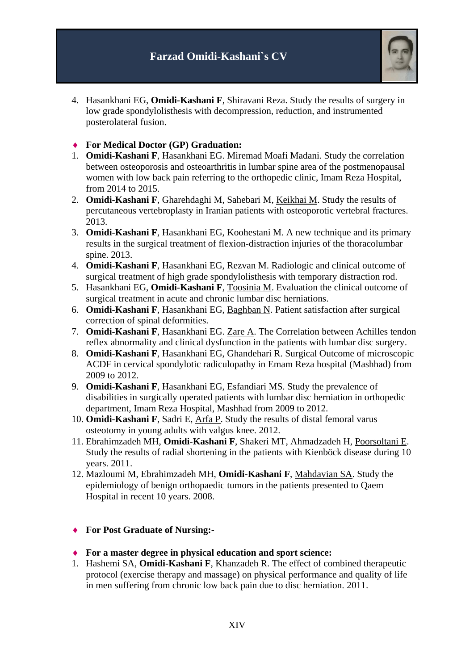

- 4. Hasankhani EG, **Omidi-Kashani F**, Shiravani Reza. Study the results of surgery in low grade spondylolisthesis with decompression, reduction, and instrumented posterolateral fusion.
- **For Medical Doctor (GP) Graduation:**
- 1. **Omidi-Kashani F**, Hasankhani EG. Miremad Moafi Madani. Study the correlation between osteoporosis and osteoarthritis in lumbar spine area of the postmenopausal women with low back pain referring to the orthopedic clinic, Imam Reza Hospital, from 2014 to 2015.
- 2. **Omidi-Kashani F**, Gharehdaghi M, Sahebari M, Keikhai M. Study the results of percutaneous vertebroplasty in Iranian patients with osteoporotic vertebral fractures. 2013.
- 3. **Omidi-Kashani F**, Hasankhani EG, Koohestani M. A new technique and its primary results in the surgical treatment of flexion-distraction injuries of the thoracolumbar spine. 2013.
- 4. **Omidi-Kashani F**, Hasankhani EG, Rezvan M. Radiologic and clinical outcome of surgical treatment of high grade spondylolisthesis with temporary distraction rod.
- 5. Hasankhani EG, **Omidi-Kashani F**, Toosinia M. Evaluation the clinical outcome of surgical treatment in acute and chronic lumbar disc herniations.
- 6. **Omidi-Kashani F**, Hasankhani EG, Baghban N. Patient satisfaction after surgical correction of spinal deformities.
- 7. **Omidi-Kashani F**, Hasankhani EG. Zare A. The Correlation between Achilles tendon reflex abnormality and clinical dysfunction in the patients with lumbar disc surgery.
- 8. **Omidi-Kashani F**, Hasankhani EG, Ghandehari R. Surgical Outcome of microscopic ACDF in cervical spondylotic radiculopathy in Emam Reza hospital (Mashhad) from 2009 to 2012.
- 9. **Omidi-Kashani F**, Hasankhani EG, Esfandiari MS. Study the prevalence of disabilities in surgically operated patients with lumbar disc herniation in orthopedic department, Imam Reza Hospital, Mashhad from 2009 to 2012.
- 10. **Omidi-Kashani F**, Sadri E, Arfa P. Study the results of distal femoral varus osteotomy in young adults with valgus knee. 2012.
- 11. Ebrahimzadeh MH, **Omidi-Kashani F**, Shakeri MT, Ahmadzadeh H, Poorsoltani E. Study the results of radial shortening in the patients with [Kienböck disease](http://www.google.com/url?q=http://orthoinfo.aaos.org/topic.cfm%3Ftopic%3Da00017&sa=U&ei=Dhv0TsTrMoy3hAeavZzVAQ&ved=0CBIQFjAA&sig2=zD2zy-Un4nDsg1PnsWfJuA&usg=AFQjCNHOKZUJhacOXtug6xXOG9xk-qIexA) during 10 years. 2011.
- 12. Mazloumi M, Ebrahimzadeh MH, **Omidi-Kashani F**, Mahdavian SA. Study the epidemiology of benign orthopaedic tumors in the patients presented to Qaem Hospital in recent 10 years. 2008.

#### **For Post Graduate of Nursing:-**

- **For a master degree in physical education and sport science:**
- 1. Hashemi SA, **Omidi-Kashani F**, Khanzadeh R. The effect of combined therapeutic protocol (exercise therapy and massage) on physical performance and quality of life in men suffering from chronic low back pain due to disc herniation. 2011.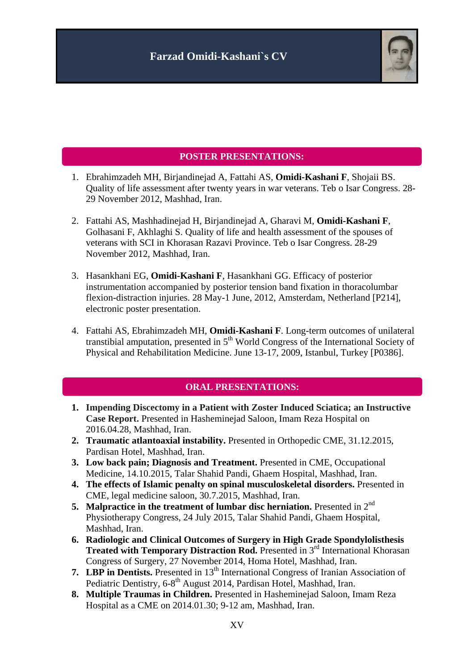

### **POSTER PRESENTATIONS:**

- 1. Ebrahimzadeh MH, Birjandinejad A, Fattahi AS, **Omidi-Kashani F**, Shojaii BS. Quality of life assessment after twenty years in war veterans. Teb o Isar Congress. 28- 29 November 2012, Mashhad, Iran.
- 2. Fattahi AS, Mashhadinejad H, Birjandinejad A, Gharavi M, **Omidi-Kashani F**, Golhasani F, Akhlaghi S. Quality of life and health assessment of the spouses of veterans with SCI in Khorasan Razavi Province. Teb o Isar Congress. 28-29 November 2012, Mashhad, Iran.
- 3. Hasankhani EG, **Omidi-Kashani F**, Hasankhani GG. Efficacy of posterior instrumentation accompanied by posterior tension band fixation in thoracolumbar flexion-distraction injuries. 28 May-1 June, 2012, Amsterdam, Netherland [P214], electronic poster presentation.
- 4. Fattahi AS, Ebrahimzadeh MH, **Omidi-Kashani F**. Long-term outcomes of unilateral transtibial amputation, presented in  $5<sup>th</sup>$  World Congress of the International Society of Physical and Rehabilitation Medicine. June 13-17, 2009, Istanbul, Turkey [P0386].

### **ORAL PRESENTATIONS:**

- **1. Impending Discectomy in a Patient with Zoster Induced Sciatica; an Instructive Case Report.** Presented in Hasheminejad Saloon, Imam Reza Hospital on 2016.04.28, Mashhad, Iran.
- **2. Traumatic atlantoaxial instability.** Presented in Orthopedic CME, 31.12.2015, Pardisan Hotel, Mashhad, Iran.
- **3. Low back pain; Diagnosis and Treatment.** Presented in CME, Occupational Medicine, 14.10.2015, Talar Shahid Pandi, Ghaem Hospital, Mashhad, Iran.
- **4. The effects of Islamic penalty on spinal musculoskeletal disorders.** Presented in CME, legal medicine saloon, 30.7.2015, Mashhad, Iran.
- **5. Malpractice in the treatment of lumbar disc herniation.** Presented in 2<sup>nd</sup> Physiotherapy Congress, 24 July 2015, Talar Shahid Pandi, Ghaem Hospital, Mashhad, Iran.
- **6. Radiologic and Clinical Outcomes of Surgery in High Grade Spondylolisthesis**  Treated with Temporary Distraction Rod. Presented in 3<sup>rd</sup> International Khorasan Congress of Surgery, 27 November 2014, Homa Hotel, Mashhad, Iran.
- **7. LBP** in Dentists. Presented in 13<sup>th</sup> International Congress of Iranian Association of Pediatric Dentistry, 6-8<sup>th</sup> August 2014, Pardisan Hotel, Mashhad, Iran.
- **8. Multiple Traumas in Children.** Presented in Hasheminejad Saloon, Imam Reza Hospital as a CME on 2014.01.30; 9-12 am, Mashhad, Iran.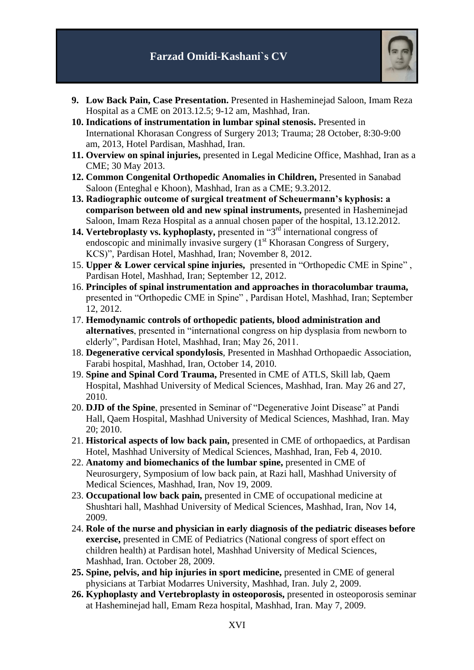

- **9. Low Back Pain, Case Presentation.** Presented in Hasheminejad Saloon, Imam Reza Hospital as a CME on 2013.12.5; 9-12 am, Mashhad, Iran.
- **10. Indications of instrumentation in lumbar spinal stenosis.** Presented in International Khorasan Congress of Surgery 2013; Trauma; 28 October, 8:30-9:00 am, 2013, Hotel Pardisan, Mashhad, Iran.
- **11. Overview on spinal injuries,** presented in Legal Medicine Office, Mashhad, Iran as a CME; 30 May 2013.
- **12. Common Congenital Orthopedic Anomalies in Children,** Presented in Sanabad Saloon (Enteghal e Khoon), Mashhad, Iran as a CME; 9.3.2012.
- **13. Radiographic outcome of surgical treatment of Scheuermann's kyphosis: a comparison between old and new spinal instruments,** presented in Hasheminejad Saloon, Imam Reza Hospital as a annual chosen paper of the hospital, 13.12.2012.
- 14. Vertebroplasty vs. kyphoplasty, presented in "3<sup>rd</sup> international congress of endoscopic and minimally invasive surgery  $(1<sup>st</sup>$  Khorasan Congress of Surgery, KCS)", Pardisan Hotel, Mashhad, Iran; November 8, 2012.
- 15. **Upper & Lower cervical spine injuries,** presented in "Orthopedic CME in Spine" , Pardisan Hotel, Mashhad, Iran; September 12, 2012.
- 16. **Principles of spinal instrumentation and approaches in thoracolumbar trauma,**  presented in "Orthopedic CME in Spine" , Pardisan Hotel, Mashhad, Iran; September 12, 2012.
- 17. **Hemodynamic controls of orthopedic patients, blood administration and alternatives**, presented in "international congress on hip dysplasia from newborn to elderly", Pardisan Hotel, Mashhad, Iran; May 26, 2011.
- 18. **Degenerative cervical spondylosis**, Presented in Mashhad Orthopaedic Association, Farabi hospital, Mashhad, Iran, October 14, 2010.
- 19. **Spine and Spinal Cord Trauma,** Presented in CME of ATLS, Skill lab, Qaem Hospital, Mashhad University of Medical Sciences, Mashhad, Iran. May 26 and 27, 2010.
- 20. **DJD of the Spine**, presented in Seminar of "Degenerative Joint Disease" at Pandi Hall, Qaem Hospital, Mashhad University of Medical Sciences, Mashhad, Iran. May 20; 2010.
- 21. **Historical aspects of low back pain,** presented in CME of orthopaedics, at Pardisan Hotel, Mashhad University of Medical Sciences, Mashhad, Iran, Feb 4, 2010.
- 22. **Anatomy and biomechanics of the lumbar spine,** presented in CME of Neurosurgery, Symposium of low back pain, at Razi hall, Mashhad University of Medical Sciences, Mashhad, Iran, Nov 19, 2009.
- 23. **Occupational low back pain,** presented in CME of occupational medicine at Shushtari hall, Mashhad University of Medical Sciences, Mashhad, Iran, Nov 14, 2009.
- 24. **Role of the nurse and physician in early diagnosis of the pediatric diseases before exercise,** presented in CME of Pediatrics (National congress of sport effect on children health) at Pardisan hotel, Mashhad University of Medical Sciences, Mashhad, Iran. October 28, 2009.
- **25. Spine, pelvis, and hip injuries in sport medicine,** presented in CME of general physicians at Tarbiat Modarres University, Mashhad, Iran. July 2, 2009.
- **26. Kyphoplasty and Vertebroplasty in osteoporosis,** presented in osteoporosis seminar at Hasheminejad hall, Emam Reza hospital, Mashhad, Iran. May 7, 2009.